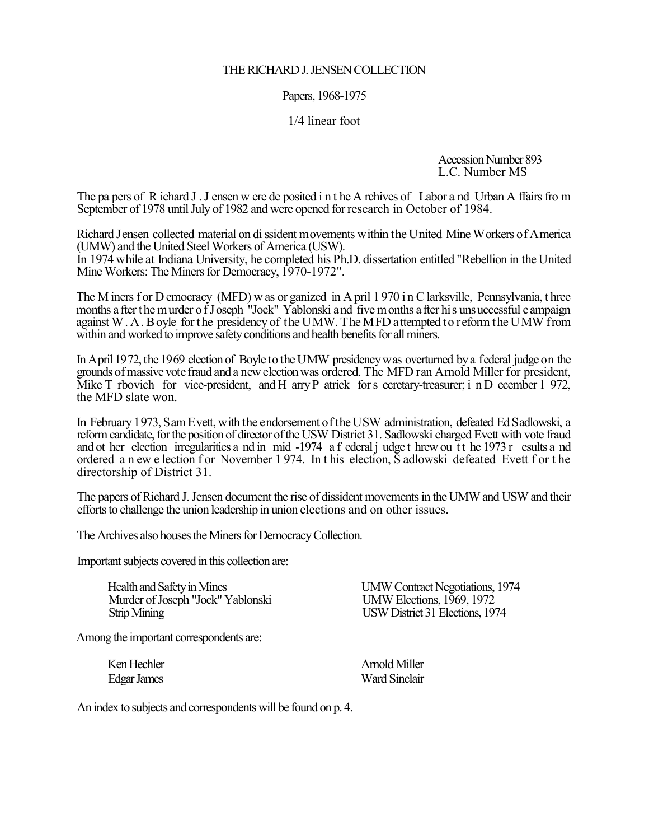# THE RICHARD J. JENSEN COLLECTION

# Papers, 1968-1975

### 1/4 linear foot

Accession Number 893 L.C. Number MS

The pa pers of R ichard J . J ensen w ere de posited i n t he A rchives of Labor a nd Urban A ffairs fro m September of 1978 until July of 1982 and were opened for research in October of 1984.

Richard Jensen collected material on di ssident movements within the United Mine Workers of America (UMW) and the United Steel Workers of America (USW).

In 1974 while at Indiana University, he completed his Ph.D. dissertation entitled "Rebellion in the United" Mine Workers: The Miners for Democracy, 1970-1972".

The M iners f or D emocracy (MFD) w as or ganized in A pril 1970 in C larksville, Pennsylvania, t hree months a fter the murder of J oseph "Jock" Yablonski and five months a fter his unsuccessful campaign against W. A. Boyle for the presidency of the UMW. The MFD attempted to reform the UMW from within and worked to improve safety conditions and health benefits for all miners.

In April 1972, the 1969 election of Boyle to the UMW presidency was overturned by a federal judge on the grounds of massive vote fraud and a new election was ordered. The MFD ran Arnold Miller for president, Mike T rbovich for vice-president, and H arry P atrick for s ecretary-treasurer; i n D ecember 1 972, the MFD slate won.

In February 1973, Sam Evett, with the endorsement of the USW administration, defeated Ed Sadlowski, a reform candidate, for the position of director of the USW District 31. Sadlowski charged Evett with vote fraud and ot her election irregularities a nd in mid -1974 a f ederal j udge t hrew ou t t he 1973 r esults a nd ordered a n ew e lection f or November 1974. In t his election, S adlowski defeated Evett f or t he directorship of District 31.

The papers of Richard J. Jensen document the rise of dissident movements in the UMW and USW and their efforts to challenge the union leadership in union elections and on other issues.

The Archives also houses the Miners for Democracy Collection.

Important subjects covered in this collection are:

Health and Safety in Mines<br>
Murder of Joseph "Jock" Yablonski<br>
UMW Elections, 1969, 1972 Murder of Joseph "Jock" Yablonski Strip Mining USW District 31 Elections, 1974

Among the important correspondents are:

Ken Hechler **Arnold Miller** Edgar James Ward Sinclair

An index to subjects and correspondents will be found on p. 4.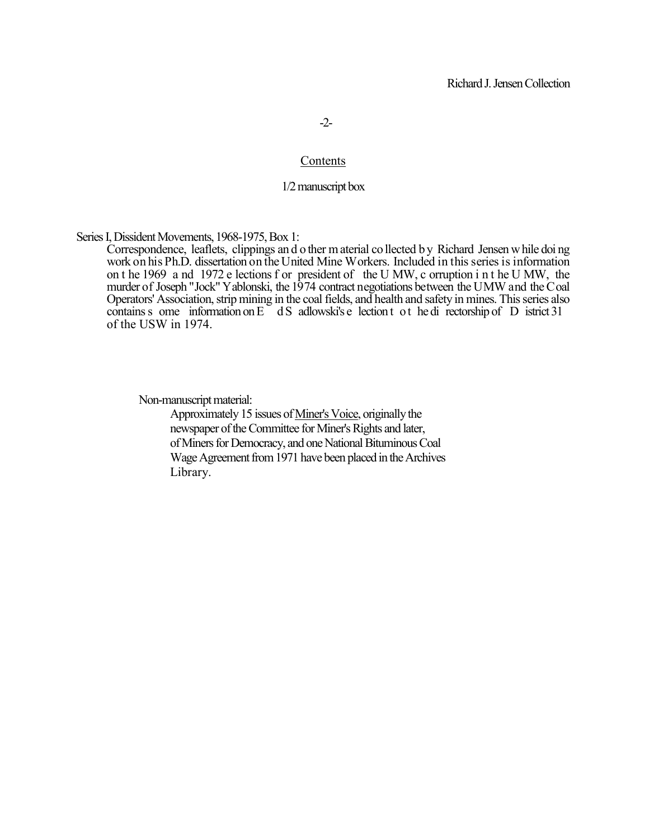-2-

#### Contents

# 1/2 manuscript box

Series I, Dissident Movements, 1968-1975, Box 1:

Correspondence, leaflets, clippings an d o ther m aterial co llected b y Richard Jensen w hile doi ng work on his Ph.D. dissertation on the United Mine Workers. Included in this series is information on t he 1969 a nd 1972 e lections f or president of the U MW, c orruption i n t he U MW, the murder of Joseph "Jock" Yablonski, the 1974 contract negotiations between the UMW and the Coal Operators' Association, strip mining in the coal fields, and health and safety in mines. This series also contains s ome information on  $E^-$  d S adlowski's e lection t o t he di rectorship of D istrict 31 of the USW in 1974.

Non-manuscript material:

Approximately 15 issues of Miner's Voice, originally the newspaper of the Committee for Miner's Rights and later, of Miners for Democracy, and one National Bituminous Coal Wage Agreement from 1971 have been placed in the Archives Library.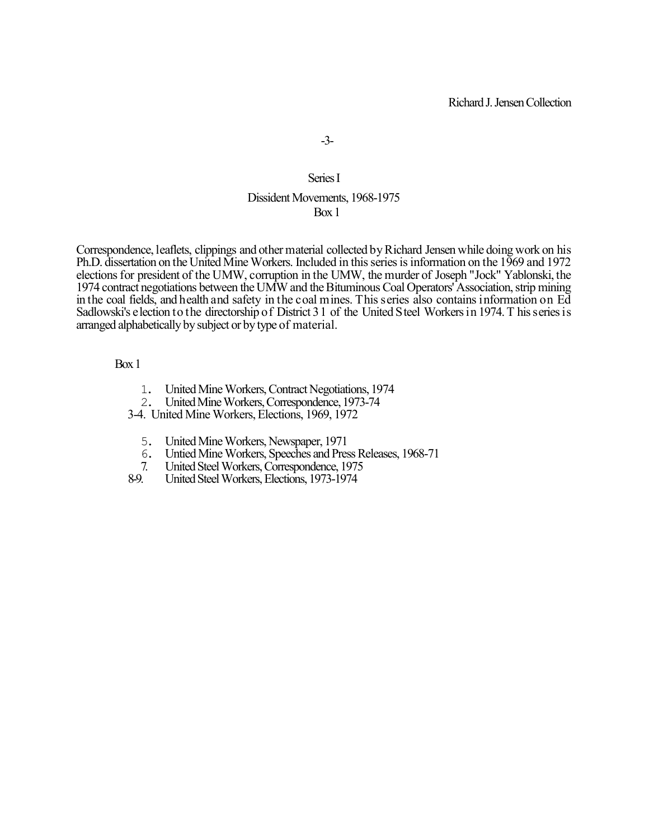# Series I

### Dissident Movements, 1968-1975 Box 1

Correspondence, leaflets, clippings and other material collected by Richard Jensen while doing work on his Ph.D. dissertation on the United Mine Workers. Included in this series is information on the 1969 and 1972 elections for president of the UMW, corruption in the UMW, the murder of Joseph "Jock" Yablonski, the 1974 contract negotiations between the UMW and the Bituminous Coal Operators' Association, strip mining in the coal fields, and health and safety in the coal mines. This series also contains information on Ed Sadlowski's election to the directorship of District 31 of the United Steel Workers in 1974. T his series is arranged alphabetically by subject or by type of material.

#### Box 1

- 1. United Mine Workers, Contract Negotiations, 1974<br>2. United Mine Workers. Correspondence. 1973-74
- 2. United Mine Workers, Correspondence, 1973-74
- 3-4. United Mine Workers, Elections, 1969, 1972
	- 5. United Mine Workers, Newspaper, 1971
	- 6. Untied Mine Workers, Speeches and Press Releases, 1968-71
- 7. United Steel Workers, Correspondence, 1975<br>8-9. United Steel Workers, Elections, 1973-1974
- 8-9. United Steel Workers, Elections, 1973-1974